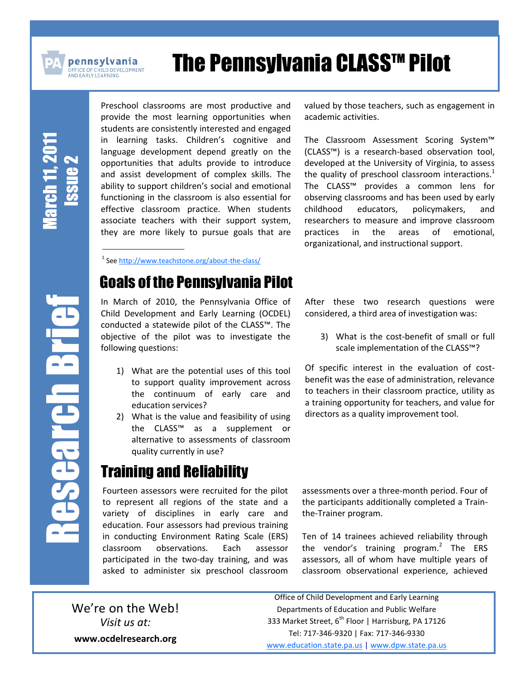

**pennsylvania** .<br>)FFICE OF CHILD DEVELOPMENT<br>.ND EARLY LEARNING

# **The Pennsylvania CLASS™ Pilot**

March 1 1, 2011 Issue 2

Preschool classrooms are most productive and provide the most learning opportunities when students are consistently interested and engaged in learning tasks. Children's cognitive and language development depend greatly on the opportunities that adults provide to introduce and assist development of complex skills. The ability to support children's social and emotional functioning in the classroom is also essential for effective classroom practice. When students associate teachers with their support system, they are more likely to pursue goals that are

<sup>1</sup> See<http://www.teachstone.org/about-the-class/>

#### Goals of the Pennsylvania Pilot

In March of 2010, the Pennsylvania Office of Child Development and Early Learning (OCDEL) conducted a statewide pilot of the CLASS™. The objective of the pilot was to investigate the following questions:

- 1) What are the potential uses of this tool to support quality improvement across the continuum of early care and education services?
- 2) What is the value and feasibility of using the CLASS™ as a supplement or alternative to assessments of classroom quality currently in use?

## Training and Reliability

Fourteen assessors were recruited for the pilot to represent all regions of the state and a variety of disciplines in early care and education. Four assessors had previous training in conducting Environment Rating Scale (ERS) classroom observations. Each assessor participated in the two-day training, and was asked to administer six preschool classroom

valued by those teachers, such as engagement in academic activities.

The Classroom Assessment Scoring System™ (CLASS™) is a research-based observation tool, developed at the University of Virginia, to assess the quality of preschool classroom interactions. $<sup>1</sup>$ </sup> The CLASS™ provides a common lens for observing classrooms and has been used by early childhood educators, policymakers, and researchers to measure and improve classroom practices in the areas of emotional, organizational, and instructional support.

After these two research questions were considered, a third area of investigation was:

3) What is the cost-benefit of small or full scale implementation of the CLASS™?

Of specific interest in the evaluation of costbenefit was the ease of administration, relevance to teachers in their classroom practice, utility as a training opportunity for teachers, and value for directors as a quality improvement tool.

assessments over a three-month period. Four of the participants additionally completed a Trainthe-Trainer program.

Ten of 14 trainees achieved reliability through the vendor's training program.<sup>2</sup> The ERS assessors, all of whom have multiple years of classroom observational experience, achieved

We're on the Web! *Visit us at:* **www.ocdelresearch.org**

Office of Child Development and Early Learning Departments of Education and Public Welfare 333 Market Street, 6<sup>th</sup> Floor | Harrisburg, PA 17126 Tel: 717-346-9320 | Fax: 717-346-9330 [www.education.state.pa.us](http://www.education.state.pa.us/) | [www.dpw.state.pa.us](http://www.dpw.state.pa.us/)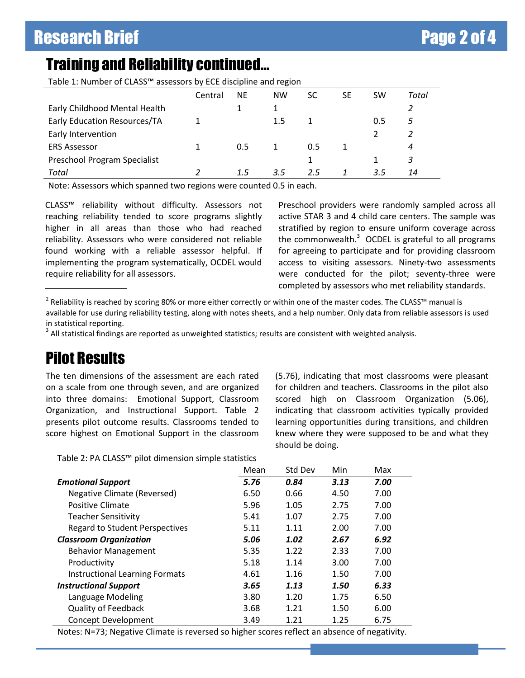# Training and Reliability continued…

Table 1: Number of CLASS™ assessors by ECE discipline and region

|                               | Central | <b>NE</b> | <b>NW</b> | SC  | SE | <b>SW</b> | Total |
|-------------------------------|---------|-----------|-----------|-----|----|-----------|-------|
| Early Childhood Mental Health |         |           |           |     |    |           |       |
| Early Education Resources/TA  |         |           | $1.5\,$   |     |    | 0.5       |       |
| Early Intervention            |         |           |           |     |    |           |       |
| <b>ERS Assessor</b>           |         | 0.5       |           | 0.5 |    |           | 4     |
| Preschool Program Specialist  |         |           |           |     |    |           | 3     |
| Total                         |         | 1.5       | 3.5       | 2.5 |    | 3.5       | 14    |

Note: Assessors which spanned two regions were counted 0.5 in each.

CLASS™ reliability without difficulty. Assessors not reaching reliability tended to score programs slightly higher in all areas than those who had reached reliability. Assessors who were considered not reliable found working with a reliable assessor helpful. If implementing the program systematically, OCDEL would require reliability for all assessors.

Preschool providers were randomly sampled across all active STAR 3 and 4 child care centers. The sample was stratified by region to ensure uniform coverage across the commonwealth. $3$  OCDEL is grateful to all programs for agreeing to participate and for providing classroom access to visiting assessors. Ninety-two assessments were conducted for the pilot; seventy-three were completed by assessors who met reliability standards.

available for use during reliability testing, along with notes sheets, and a help number. Only data from reliable assessors is used in statistical reporting.

 $3$  All statistical findings are reported as unweighted statistics; results are consistent with weighted analysis.

## Pilot Results

The ten dimensions of the assessment are each rated on a scale from one through seven, and are organized into three domains: Emotional Support, Classroom Organization, and Instructional Support. Table 2 presents pilot outcome results. Classrooms tended to score highest on Emotional Support in the classroom (5.76), indicating that most classrooms were pleasant for children and teachers. Classrooms in the pilot also scored high on Classroom Organization (5.06), indicating that classroom activities typically provided learning opportunities during transitions, and children knew where they were supposed to be and what they should be doing.

Table 2: PA CLASS™ pilot dimension simple statistics

|                                       | Mean | Std Dev | Min  | Max  |
|---------------------------------------|------|---------|------|------|
| <b>Emotional Support</b>              | 5.76 | 0.84    | 3.13 | 7.00 |
| Negative Climate (Reversed)           | 6.50 | 0.66    | 4.50 | 7.00 |
| Positive Climate                      | 5.96 | 1.05    | 2.75 | 7.00 |
| <b>Teacher Sensitivity</b>            | 5.41 | 1.07    | 2.75 | 7.00 |
| <b>Regard to Student Perspectives</b> | 5.11 | 1.11    | 2.00 | 7.00 |
| <b>Classroom Organization</b>         | 5.06 | 1.02    | 2.67 | 6.92 |
| <b>Behavior Management</b>            | 5.35 | 1.22    | 2.33 | 7.00 |
| Productivity                          | 5.18 | 1.14    | 3.00 | 7.00 |
| <b>Instructional Learning Formats</b> | 4.61 | 1.16    | 1.50 | 7.00 |
| <b>Instructional Support</b>          | 3.65 | 1.13    | 1.50 | 6.33 |
| Language Modeling                     | 3.80 | 1.20    | 1.75 | 6.50 |
| <b>Quality of Feedback</b>            | 3.68 | 1.21    | 1.50 | 6.00 |
| <b>Concept Development</b>            | 3.49 | 1.21    | 1.25 | 6.75 |

Notes: N=73; Negative Climate is reversed so higher scores reflect an absence of negativity.

<sup>&</sup>lt;sup>2</sup> Reliability is reached by scoring 80% or more either correctly or within one of the master codes. The CLASS™ manual is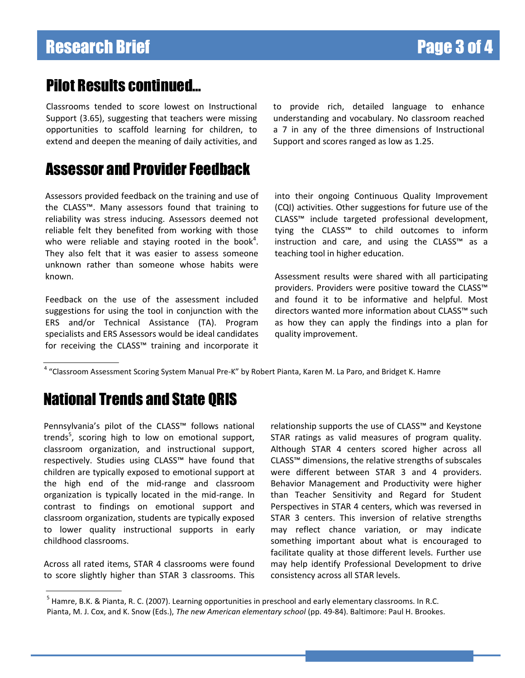#### Pilot Results continued…

Classrooms tended to score lowest on Instructional Support (3.65), suggesting that teachers were missing opportunities to scaffold learning for children, to extend and deepen the meaning of daily activities, and

#### Assessor and Provider Feedback

Assessors provided feedback on the training and use of the CLASS™. Many assessors found that training to reliability was stress inducing. Assessors deemed not reliable felt they benefited from working with those who were reliable and staying rooted in the book<sup>4</sup>. They also felt that it was easier to assess someone unknown rather than someone whose habits were known.

Feedback on the use of the assessment included suggestions for using the tool in conjunction with the ERS and/or Technical Assistance (TA). Program specialists and ERS Assessors would be ideal candidates for receiving the CLASS™ training and incorporate it to provide rich, detailed language to enhance understanding and vocabulary. No classroom reached a 7 in any of the three dimensions of Instructional Support and scores ranged as low as 1.25.

into their ongoing Continuous Quality Improvement (CQI) activities. Other suggestions for future use of the CLASS™ include targeted professional development, tying the CLASS™ to child outcomes to inform instruction and care, and using the CLASS™ as a teaching tool in higher education.

Assessment results were shared with all participating providers. Providers were positive toward the CLASS™ and found it to be informative and helpful. Most directors wanted more information about CLASS™ such as how they can apply the findings into a plan for quality improvement.

<sup>4</sup> "Classroom Assessment Scoring System Manual Pre-K" by Robert Pianta, Karen M. La Paro, and Bridget K. Hamre

# National Trends and State QRIS

Pennsylvania's pilot of the CLASS™ follows national trends<sup>5</sup>, scoring high to low on emotional support, classroom organization, and instructional support, respectively. Studies using CLASS™ have found that children are typically exposed to emotional support at the high end of the mid-range and classroom organization is typically located in the mid-range. In contrast to findings on emotional support and classroom organization, students are typically exposed to lower quality instructional supports in early childhood classrooms.

Across all rated items, STAR 4 classrooms were found to score slightly higher than STAR 3 classrooms. This relationship supports the use of CLASS™ and Keystone STAR ratings as valid measures of program quality. Although STAR 4 centers scored higher across all CLASS™ dimensions, the relative strengths of subscales were different between STAR 3 and 4 providers. Behavior Management and Productivity were higher than Teacher Sensitivity and Regard for Student Perspectives in STAR 4 centers, which was reversed in STAR 3 centers. This inversion of relative strengths may reflect chance variation, or may indicate something important about what is encouraged to facilitate quality at those different levels. Further use may help identify Professional Development to drive consistency across all STAR levels.

<sup>&</sup>lt;sup>5</sup> Hamre, B.K. & Pianta, R. C. (2007). Learning opportunities in preschool and early elementary classrooms. In R.C. Pianta, M. J. Cox, and K. Snow (Eds.), *The new American elementary school* (pp. 49-84). Baltimore: Paul H. Brookes.